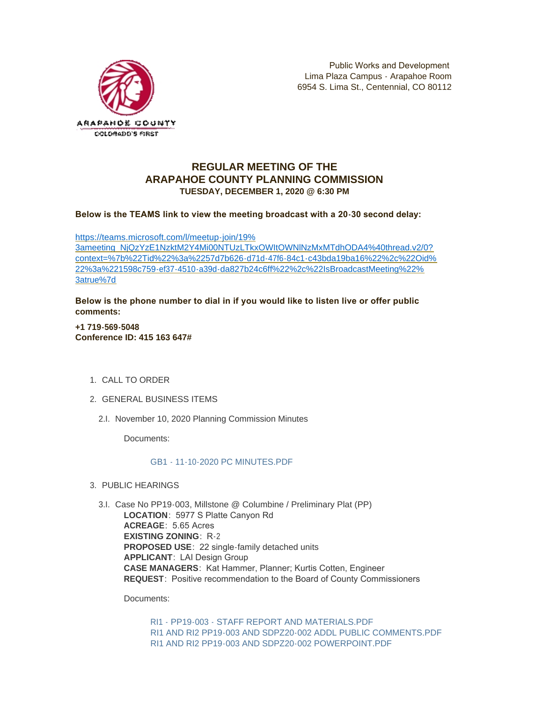

## **REGULAR MEETING OF THE ARAPAHOE COUNTY PLANNING COMMISSION TUESDAY, DECEMBER 1, 2020 @ 6:30 PM**

**Below is the TEAMS link to view the meeting broadcast with a 20-30 second delay:** 

https://teams.microsoft.com/l/meetup-join/19% 3ameeting\_NjQzYzE1NzktM2Y4Mi00NTUzLTkxOWItOWNlNzMxMTdhODA4%40thread.v2/0? [context=%7b%22Tid%22%3a%2257d7b626-d71d-47f6-84c1-c43bda19ba16%22%2c%22Oid%](https://teams.microsoft.com/l/meetup-join/19%3ameeting_NjQzYzE1NzktM2Y4Mi00NTUzLTkxOWItOWNlNzMxMTdhODA4%40thread.v2/0?context=%7b%22Tid%22%3a%2257d7b626-d71d-47f6-84c1-c43bda19ba16%22%2c%22Oid%22%3a%221598c759-ef37-4510-a39d-da827b24c6ff%22%2c%22IsBroadcastMeeting%22%3atrue%7d) 22%3a%221598c759-ef37-4510-a39d-da827b24c6ff%22%2c%22IsBroadcastMeeting%22% 3atrue%7d

**Below is the phone number to dial in if you would like to listen live or offer public comments:**

**+1 719-569-5048 Conference ID: 415 163 647#**

- 1. CALL TO ORDER
- GENERAL BUSINESS ITEMS 2.
	- 2.I. November 10, 2020 Planning Commission Minutes

Documents:

[GB1 - 11-10-2020 PC MINUTES.PDF](https://www.arapahoegov.com/AgendaCenter/ViewFile/Item/13951?fileID=24928)

PUBLIC HEARINGS 3.

3.I. Case No PP19-003, Millstone @ Columbine / Preliminary Plat (PP) **LOCATION**: 5977 S Platte Canyon Rd **ACREAGE**: 5.65 Acres **EXISTING ZONING**: R-2 **PROPOSED USE**: 22 single-family detached units **APPLICANT**: LAI Design Group **CASE MANAGERS**: Kat Hammer, Planner; Kurtis Cotten, Engineer **REQUEST**: Positive recommendation to the Board of County Commissioners

Documents:

[RI1 - PP19-003 - STAFF REPORT AND MATERIALS.PDF](https://www.arapahoegov.com/AgendaCenter/ViewFile/Item/13952?fileID=24929) [RI1 AND RI2 PP19-003 AND SDPZ20-002 ADDL PUBLIC COMMENTS.PDF](https://www.arapahoegov.com/AgendaCenter/ViewFile/Item/13952?fileID=24937) [RI1 AND RI2 PP19-003 AND SDPZ20-002 POWERPOINT.PDF](https://www.arapahoegov.com/AgendaCenter/ViewFile/Item/13952?fileID=24936)